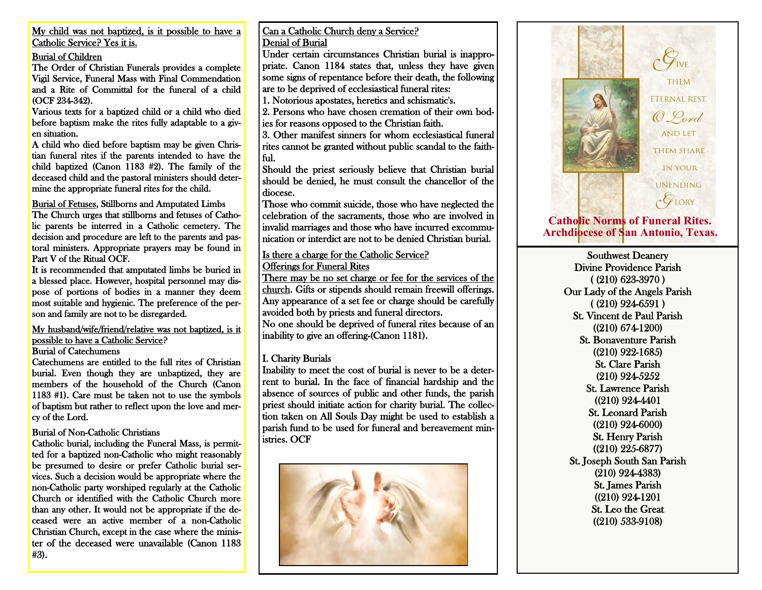My child was not baptized, is it possible to have a Catholic Service? Yes it is.

#### Burial of Children

The Order of Christian Funerals provides a complete Vigil Service, Funeral Mass with Final Commendation and a Rite of Committal for the funeral of a child (OCF 234-342).

Various texts for a baptized child or a child who died before baptism make the rites fully adaptable to a given situation.

A child who died before baptism may be given Christian funeral rites if the parents intended to have the child baptized (Canon 1183 #2). The family of the deceased child and the pastoral ministers should determine the appropriate funeral rites for the child.

Burial of Fetuses, Stillborns and Amputated Limbs The Church urges that stillborns and fetuses of Catho-

lic parents be interred in a Catholic cemetery. The decision and procedure are left to the parents and pastoral ministers. Appropriate prayers may be found in Part V of the Ritual OCF.

It is recommended that amputated limbs be buried in a blessed place. However, hospital personnel may dispose of portions of bodies in a manner they deem most suitable and hygienic. The preference of the person and family are not to be disregarded.

My husband/wife/friend/relative was not baptized, is it possible to have a Catholic Service? Burial of Catechumens

Catechumens are entitled to the full rites of Christian burial. Even though they are unbaptized, they are members of the household of the Church (Canon 1183 #1). Care must be taken not to use the symbols of baptism but rather to reflect upon the love and mercy of the Lord.

#### Burial of Non-Catholic Christians

Catholic burial, including the Funeral Mass, is permitted for a baptized non-Catholic who might reasonably be presumed to desire or prefer Catholic burial services. Such a decision would be appropriate where the non-Catholic party worshiped regularly at the Catholic Church or identified with the Catholic Church more than any other. It would not be appropriate if the deceased were an active member of a non-Catholic Christian Church, except in the case where the minister of the deceased were unavailable (Canon 1183 #3).

#### Can a Catholic Church deny a Service? Denial of Burial

Under certain circumstances Christian burial is inappropriate. Canon 1184 states that, unless they have given some signs of repentance before their death, the following are to be deprived of ecclesiastical funeral rites:

1. Notorious apostates, heretics and schismatic's.

2. Persons who have chosen cremation of their own bodies for reasons opposed to the Christian faith.

3. Other manifest sinners for whom ecclesiastical funeral rites cannot be granted without public scandal to the faithful.

Should the priest seriously believe that Christian burial should be denied, he must consult the chancellor of the diocese.

Those who commit suicide, those who have neglected the celebration of the sacraments, those who are involved in invalid marriages and those who have incurred excommunication or interdict are not to be denied Christian burial.

# Is there a charge for the Catholic Service?

Offerings for Funeral Rites

There may be no set charge or fee for the services of the church. Gifts or stipends should remain freewill offerings. Any appearance of a set fee or charge should be carefully avoided both by priests and funeral directors. No one should be deprived of funeral rites because of an inability to give an offering-(Canon 1181).

## I. Charity Burials

Inability to meet the cost of burial is never to be a deterrent to burial. In the face of financial hardship and the absence of sources of public and other funds, the parish priest should initiate action for charity burial. The collection taken on All Souls Day might be used to establish a parish fund to be used for funeral and bereavement ministries. OCF





# **Catholic Norms of Funeral Rites. Archdiocese of San Antonio, Texas.**

Southwest Deanery Divine Providence Parish ( (210) 623-3970 ) Our Lady of the Angels Parish ( (210) 924-6591 ) St. Vincent de Paul Parish ((210) 674-1200) St. Bonaventure Parish ((210) 922-1685) St. Clare Parish (210) 924-5252 St. Lawrence Parish ((210) 924-4401 St. Leonard Parish ((210) 924-6000) St. Henry Parish ((210) 225-6877) St. Joseph South San Parish (210) 924-4383) St. James Parish ((210) 924-1201 St. Leo the Great ((210) 533-9108)